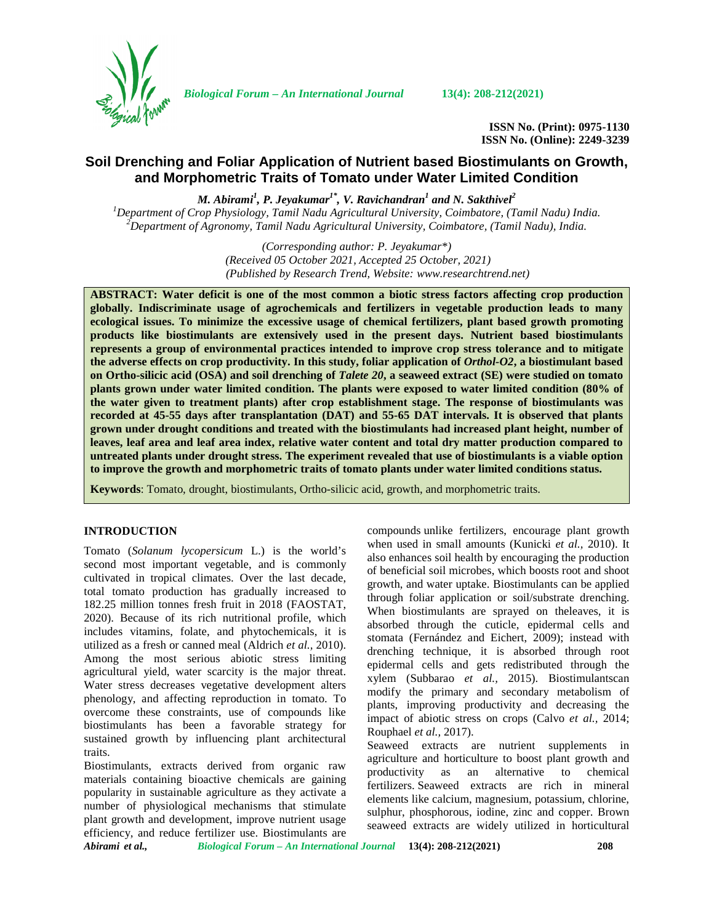

*Biological Forum – An International Journal* **13(4): 208-212(2021)**

**ISSN No. (Print): 0975-1130 ISSN No. (Online): 2249-3239**

# **Soil Drenching and Foliar Application of Nutrient based Biostimulants on Growth, and Morphometric Traits of Tomato under Water Limited Condition**

*M. Abirami<sup>1</sup> , P. Jeyakumar1\* , V. Ravichandran<sup>1</sup> and N. Sakthivel<sup>2</sup>* <sup>1</sup>Department of Crop Physiology, Tamil Nadu Agricultural University, Coimbatore, (Tamil Nadu) India.<br><sup>2</sup>Department of Agronomy, Tamil Nadu Agricultural University, Coimbatore, (Tamil Nadu), India.

> *(Corresponding author: P. Jeyakumar\*) (Received 05 October 2021, Accepted 25 October, 2021) (Published by Research Trend, Website: [www.researchtrend.net\)](www.researchtrend.net)*

**ABSTRACT: Water deficit is one of the most common a biotic stress factors affecting crop production globally. Indiscriminate usage of agrochemicals and fertilizers in vegetable production leads to many ecological issues. To minimize the excessive usage of chemical fertilizers, plant based growth promoting products like biostimulants are extensively used in the present days. Nutrient based biostimulants represents a group of environmental practices intended to improve crop stress tolerance and to mitigate the adverse effects on crop productivity. In this study, foliar application of** *Orthol-O2***, a biostimulant based on Ortho-silicic acid (OSA) and soil drenching of** *Talete 20***, a seaweed extract (SE) were studied on tomato plants grown under water limited condition. The plants were exposed to water limited condition (80% of the water given to treatment plants) after crop establishment stage. The response of biostimulants was recorded at 45-55 days after transplantation (DAT) and 55-65 DAT intervals. It is observed that plants grown under drought conditions and treated with the biostimulants had increased plant height, number of leaves, leaf area and leaf area index, relative water content and total dry matter production compared to untreated plants under drought stress. The experiment revealed that use of biostimulants is a viable option to improve the growth and morphometric traits of tomato plants under water limited conditions status.**

**Keywords**: Tomato, drought, biostimulants, Ortho-silicic acid, growth, and morphometric traits.

#### **INTRODUCTION**

Tomato (*Solanum lycopersicum* L.) is the world's second most important vegetable, and is commonly cultivated in tropical climates. Over the last decade, total tomato production has gradually increased to 182.25 million tonnes fresh fruit in 2018 (FAOSTAT, 2020). Because of its rich nutritional profile, which includes vitamins, folate, and phytochemicals, it is utilized as a fresh or canned meal (Aldrich *et al.,* 2010). Among the most serious abiotic stress limiting agricultural yield, water scarcity is the major threat. Water stress decreases vegetative development alters phenology, and affecting reproduction in tomato. To overcome these constraints, use of compounds like biostimulants has been a favorable strategy for sustained growth by influencing plant architectural traits.

Biostimulants, extracts derived from organic raw materials containing bioactive chemicals are gaining popularity in sustainable agriculture as they activate a number of physiological mechanisms that stimulate plant growth and development, improve nutrient usage efficiency, and reduce fertilizer use. Biostimulants are

compounds unlike fertilizers, encourage plant growth when used in small amounts (Kunicki *et al.,* 2010). It also enhances soil health by encouraging the production of beneficial soil microbes, which boosts root and shoot growth, and water uptake. Biostimulants can be applied through foliar application or soil/substrate drenching. When biostimulants are sprayed on theleaves, it is absorbed through the cuticle, epidermal cells and stomata (Fernández and Eichert, 2009); instead with drenching technique, it is absorbed through root epidermal cells and gets redistributed through the xylem (Subbarao *et al.,* 2015). Biostimulantscan modify the primary and secondary metabolism of plants, improving productivity and decreasing the impact of abiotic stress on crops (Calvo *et al.,* 2014; Rouphael *et al.,* 2017).

Seaweed extracts are nutrient supplements in agriculture and horticulture to boost plant growth and productivity as an alternative to chemical fertilizers. Seaweed extracts are rich in mineral elements like calcium, magnesium, potassium, chlorine, sulphur, phosphorous, iodine, zinc and copper. Brown seaweed extracts are widely utilized in horticultural

*Abirami et al., Biological Forum – An International Journal* **13(4): 208-212(2021) 208**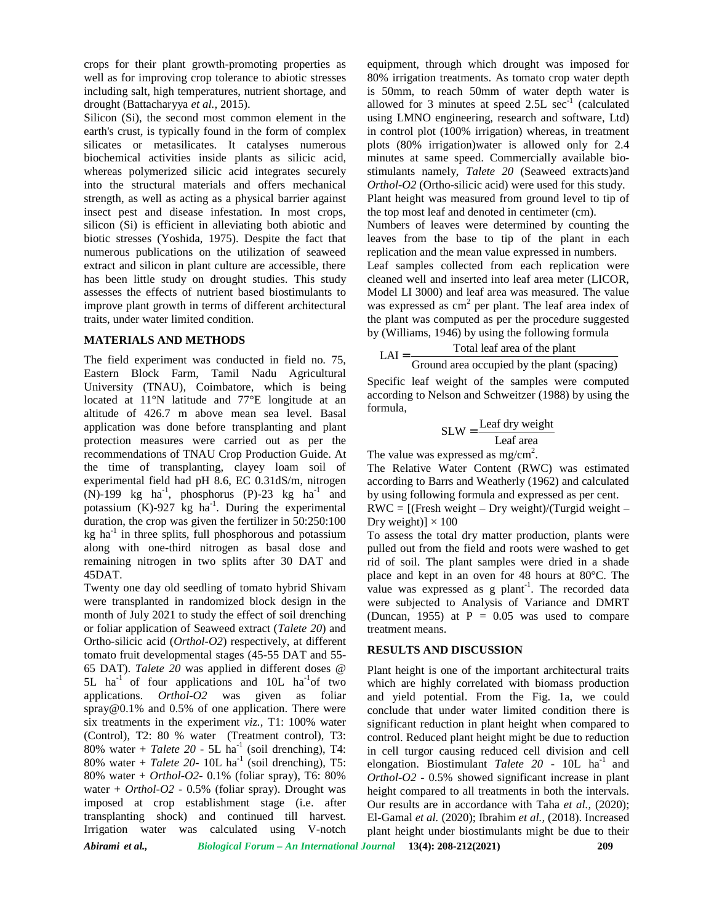crops for their plant growth-promoting properties as well as for improving crop tolerance to abiotic stresses including salt, high temperatures, nutrient shortage, and drought (Battacharyya *et al.,* 2015).

Silicon (Si), the second most common element in the earth's crust, is typically found in the form of complex silicates or metasilicates. It catalyses numerous biochemical activities inside plants as silicic acid, whereas polymerized silicic acid integrates securely into the structural materials and offers mechanical strength, as well as acting as a physical barrier against insect pest and disease infestation. In most crops, silicon (Si) is efficient in alleviating both abiotic and biotic stresses (Yoshida, 1975). Despite the fact that numerous publications on the utilization of seaweed extract and silicon in plant culture are accessible, there has been little study on drought studies. This study assesses the effects of nutrient based biostimulants to improve plant growth in terms of different architectural traits, under water limited condition.

## **MATERIALS AND METHODS**

The field experiment was conducted in field no. 75, Eastern Block Farm, Tamil Nadu Agricultural University (TNAU), Coimbatore, which is being located at 11°N latitude and 77°E longitude at an altitude of 426.7 m above mean sea level. Basal application was done before transplanting and plant protection measures were carried out as per the recommendations of TNAU Crop Production Guide. At the time of transplanting, clayey loam soil of experimental field had pH 8.6, EC 0.31dS/m, nitrogen  $(N)$ -199 kg ha<sup>-1</sup>, phosphorus (P)-23 kg ha<sup>-1</sup> and by us potassium  $(K)$ -927 kg ha<sup>-1</sup>. During the experimental 1 duration, the crop was given the fertilizer in 50:250:100 kg ha<sup>-1</sup> in three splits, full phosphorous and potassium To assess along with one-third nitrogen as basal dose and remaining nitrogen in two splits after 30 DAT and 45DAT.

Twenty one day old seedling of tomato hybrid Shivam were transplanted in randomized block design in the month of July 2021 to study the effect of soil drenching or foliar application of Seaweed extract (*Talete 20*) and Ortho-silicic acid (*Orthol-O2*) respectively, at different tomato fruit developmental stages (45-55 DAT and 55- 65 DAT). *Talete 20* was applied in different doses @ 5L  $ha^{-1}$  of four applications and 10L  $ha^{-1}$ of two applications. *Orthol-O2* was given as foliar [spray@0.1%](mailto:spray@0.1%) and 0.5% of one application. There were six treatments in the experiment *viz.,* T1: 100% water (Control), T2: 80 % water (Treatment control), T3: 80% water +  $Talete$  20 - 5L ha<sup>-1</sup> (soil drenching), T4: 80% water + *Talete 20*- 10L ha<sup>-1</sup> (soil drenching), T5: 80% water + *Orthol-O2*- 0.1% (foliar spray), T6: 80% water + *Orthol-O2* - 0.5% (foliar spray). Drought was imposed at crop establishment stage (i.e. after transplanting shock) and continued till harvest. Irrigation water was calculated using V-notch

equipment, through which drought was imposed for 80% irrigation treatments. As tomato crop water depth is 50mm, to reach 50mm of water depth water is allowed for 3 minutes at speed  $2.5L$  sec<sup>-1</sup> (calculated using LMNO engineering, research and software, Ltd) in control plot (100% irrigation) whereas, in treatment plots (80% irrigation)water is allowed only for 2.4 minutes at same speed. Commercially available bio stimulants namely, *Talete 20* (Seaweed extracts)and *Orthol-O2* (Ortho-silicic acid) were used for this study. Plant height was measured from ground level to tip of the top most leaf and denoted in centimeter (cm). Numbers of leaves were determined by counting the leaves from the base to tip of the plant in each replication and the mean value expressed in numbers. Leaf samples collected from each replication were cleaned well and inserted into leaf area meter (LICOR, Model LI 3000) and leaf area was measured. The value was expressed as  $cm<sup>2</sup>$  per plant. The leaf area index of the plant was computed as per the procedure suggested by (Williams, 1946) by using the following formula

$$
LAI = \frac{\text{Total leaf area of the plant}}{\text{Ground area occupied by the plant (spacing)}}
$$

Specific leaf weight of the samples were computed according to Nelson and Schweitzer (1988) by using the formula,

$$
SLW = \frac{Leaf \, dry \, weight}{Leaf \, area}
$$

The value was expressed as  $mg/cm^2$ .

The Relative Water Content (RWC) was estimated according to Barrs and Weatherly (1962) and calculated by using following formula and expressed as per cent.

 $RWC = [(Fresh weight - Dry weight)/(Turgid weight -$ Dry weight)]  $\times$  100

To assess the total dry matter production, plants were pulled out from the field and roots were washed to get rid of soil. The plant samples were dried in a shade place and kept in an oven for 48 hours at 80°C. The value was expressed as  $g$  plant<sup>-1</sup>. The recorded data were subjected to Analysis of Variance and DMRT (Duncan, 1955) at  $P = 0.05$  was used to compare treatment means.

#### **RESULTS AND DISCUSSION**

Plant height is one of the important architectural traits which are highly correlated with biomass production and yield potential. From the Fig. 1a, we could conclude that under water limited condition there is significant reduction in plant height when compared to control. Reduced plant height might be due to reduction in cell turgor causing reduced cell division and cell elongation. Biostimulant *Talete* 20 - 10L ha<sup>-1</sup> and *Orthol-O2* - 0.5% showed significant increase in plant height compared to all treatments in both the intervals. Our results are in accordance with Taha *et al.,* (2020); El-Gamal *et al.* (2020); Ibrahim *et al.,* (2018). Increased plant height under biostimulants might be due to their

*Abirami et al., Biological Forum – An International Journal* **13(4): 208-212(2021) 209**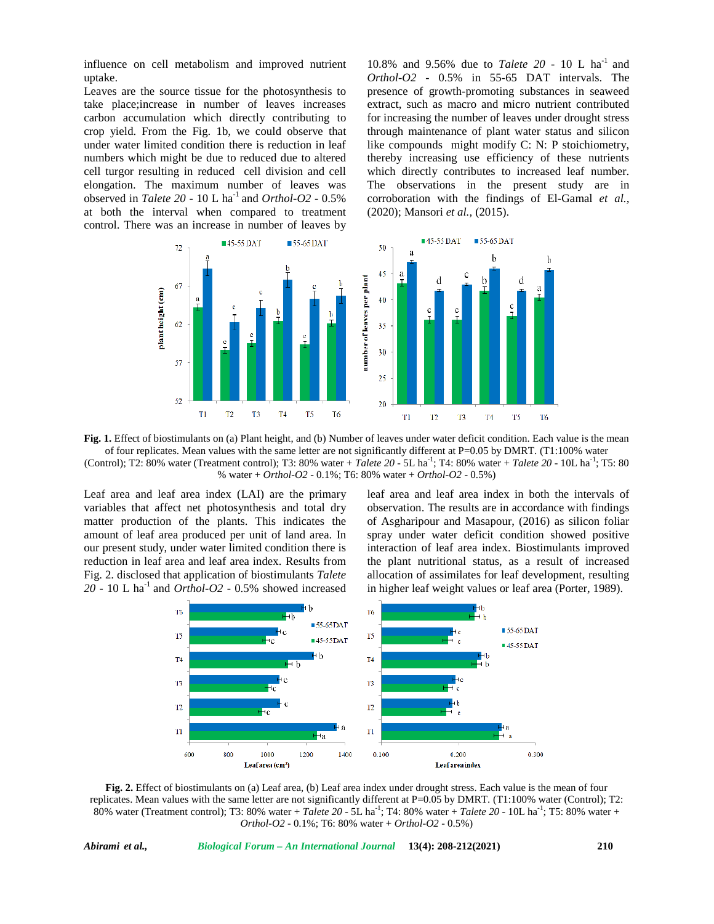influence on cell metabolism and improved nutrient uptake.

Leaves are the source tissue for the photosynthesis to take place;increase in number of leaves increases carbon accumulation which directly contributing to crop yield. From the Fig. 1b, we could observe that under water limited condition there is reduction in leaf numbers which might be due to reduced due to altered cell turgor resulting in reduced cell division and cell elongation. The maximum number of leaves was observed in *Talete 20* - 10 L ha-1 and *Orthol-O2* - 0.5% at both the interval when compared to treatment control. There was an increase in number of leaves by

10.8% and 9.56% due to *Talete 20* - 10 L ha<sup>-1</sup> and *Orthol-O2* - 0.5% in 55-65 DAT intervals. The presence of growth-promoting substances in seaweed extract, such as macro and micro nutrient contributed for increasing the number of leaves under drought stress through maintenance of plant water status and silicon like compounds might modify C: N: P stoichiometry, thereby increasing use efficiency of these nutrients which directly contributes to increased leaf number. The observations in the present study are in corroboration with the findings of El-Gamal *et al.,* (2020); Mansori *et al.,* (2015).



**Fig. 1.** Effect of biostimulants on (a) Plant height, and (b) Number of leaves under water deficit condition. Each value is the mean of four replicates. Mean values with the same letter are not significantly different at P=0.05 by DMRT. (T1:100% water (Control); T2: 80% water (Treatment control); T3: 80% water + *Talete 20* - 5L ha<sup>-1</sup>; T4: 80% water + *Talete 20* - 10L ha<sup>-1</sup>; T5: 80 % water + *Orthol-O2* - 0.1%; T6: 80% water + *Orthol-O2* - 0.5%)

Leaf area and leaf area index (LAI) are the primary variables that affect net photosynthesis and total dry matter production of the plants. This indicates the amount of leaf area produced per unit of land area. In our present study, under water limited condition there is reduction in leaf area and leaf area index. Results from Fig. 2. disclosed that application of biostimulants *Talete*  $20 - 10$  L ha<sup>-1</sup> and *Orthol-O2* - 0.5% showed increased leaf area and leaf area index in both the intervals of observation. The results are in accordance with findings of Asgharipour and Masapour, (2016) as silicon foliar spray under water deficit condition showed positive interaction of leaf area index. Biostimulants improved the plant nutritional status, as a result of increased allocation of assimilates for leaf development, resulting in higher leaf weight values or leaf area (Porter, 1989).



**Fig. 2.** Effect of biostimulants on (a) Leaf area, (b) Leaf area index under drought stress. Each value is the mean of four replicates. Mean values with the same letter are not significantly different at P=0.05 by DMRT. (T1:100% water (Control); T2: 80% water (Treatment control); T3: 80% water + *Talete 20* - 5L ha<sup>-1</sup>; T4: 80% water + *Talete 20* - 10L ha<sup>-1</sup>; T5: 80% water + *Orthol-O2* - 0.1%; T6: 80% water + *Orthol-O2* - 0.5%)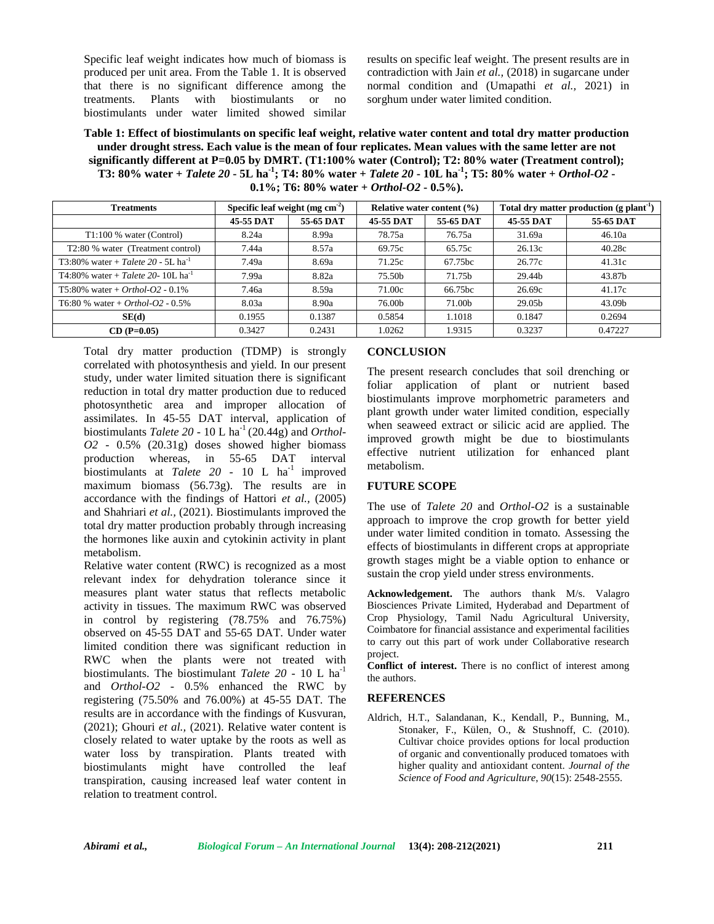Specific leaf weight indicates how much of biomass is produced per unit area. From the Table 1. It is observed that there is no significant difference among the treatments. Plants with biostimulants or no biostimulants under water limited showed similar

results on specific leaf weight. The present results are in contradiction with Jain *et al.,* (2018) in sugarcane under normal condition and (Umapathi *et al.,* 2021) in sorghum under water limited condition.

**Table 1: Effect of biostimulants on specific leaf weight, relative water content and total dry matter production under drought stress. Each value is the mean of four replicates. Mean values with the same letter are not significantly different at P=0.05 by DMRT. (T1:100% water (Control); T2: 80% water (Treatment control); T3: 80% water +** *Talete 20* **- 5L ha-1; T4: 80% water +** *Talete 20* **- 10L ha-1; T5: 80% water +** *Orthol-O2* **- 0.1%; T6: 80% water +** *Orthol-O2* **- 0.5%).**

| <b>Treatments</b>                                        | Specific leaf weight $(mg cm-2)$ |           | Relative water content $(\% )$ |           | Total dry matter production (g plant <sup>-1</sup> ) |           |
|----------------------------------------------------------|----------------------------------|-----------|--------------------------------|-----------|------------------------------------------------------|-----------|
|                                                          | 45-55 DAT                        | 55-65 DAT | 45-55 DAT                      | 55-65 DAT | 45-55 DAT                                            | 55-65 DAT |
| $T1:100\%$ water (Control)                               | 8.24a                            | 8.99a     | 78.75a                         | 76.75a    | 31.69a                                               | 46.10a    |
| T2:80 % water (Treatment control)                        | 7.44a                            | 8.57a     | 69.75c                         | 65.75c    | 26.13c                                               | 40.28c    |
| $T3:80\%$ water + <i>Talete</i> 20 - 5L ha <sup>-1</sup> | 7.49a                            | 8.69a     | 71.25c                         | 67.75bc   | 26.77c                                               | 41.31c    |
| T4:80% water + Talete 20- 10L ha <sup>-1</sup>           | 7.99a                            | 8.82a     | 75.50b                         | 71.75b    | 29.44b                                               | 43.87b    |
| $T5:80\%$ water + Orthol-O2 - 0.1%                       | 7.46a                            | 8.59a     | 71.00c                         | 66.75bc   | 26.69c                                               | 41.17c    |
| T6:80 % water + Orthol-O2 - $0.5\%$                      | 8.03a                            | 8.90a     | 76.00b                         | 71.00b    | 29.05b                                               | 43.09b    |
| SE(d)                                                    | 0.1955                           | 0.1387    | 0.5854                         | 1.1018    | 0.1847                                               | 0.2694    |
| $CD (P=0.05)$                                            | 0.3427                           | 0.2431    | 1.0262                         | 1.9315    | 0.3237                                               | 0.47227   |

Total dry matter production (TDMP) is strongly correlated with photosynthesis and yield. In our present study, under water limited situation there is significant reduction in total dry matter production due to reduced photosynthetic area and improper allocation of assimilates. In 45-55 DAT interval, application of biostimulants *Talete* 20 - 10 L ha<sup>-1</sup> (20.44g) and *Orthol*-*O2* - 0.5% (20.31g) doses showed higher biomass production whereas, in 55-65 DAT interval biostimulants at *Talete* 20 - 10 L  $ha^{-1}$  improved meta maximum biomass (56.73g). The results are in accordance with the findings of Hattori *et al.,* (2005) and Shahriari *et al.,* (2021). Biostimulants improved the total dry matter production probably through increasing the hormones like auxin and cytokinin activity in plant metabolism.

Relative water content (RWC) is recognized as a most relevant index for dehydration tolerance since it measures plant water status that reflects metabolic activity in tissues. The maximum RWC was observed in control by registering (78.75% and 76.75%) observed on 45-55 DAT and 55-65 DAT. Under water limited condition there was significant reduction in RWC when the plants were not treated with biostimulants. The biostimulant *Talete 20* - 10 L ha-1 and *Orthol-O2* - 0.5% enhanced the RWC by registering (75.50% and 76.00%) at 45-55 DAT. The results are in accordance with the findings of Kusvuran, (2021); Ghouri *et al.,* (2021). Relative water content is closely related to water uptake by the roots as well as water loss by transpiration. Plants treated with biostimulants might have controlled the leaf transpiration, causing increased leaf water content in relation to treatment control.

## **CONCLUSION**

The present research concludes that soil drenching or foliar application of plant or nutrient based biostimulants improve morphometric parameters and plant growth under water limited condition, especially when seaweed extract or silicic acid are applied. The improved growth might be due to biostimulants effective nutrient utilization for enhanced plant metabolism.

#### **FUTURE SCOPE**

The use of *Talete 20* and *Orthol-O2* is a sustainable approach to improve the crop growth for better yield under water limited condition in tomato. Assessing the effects of biostimulants in different crops at appropriate growth stages might be a viable option to enhance or sustain the crop yield under stress environments.

**Acknowledgement.** The authors thank M/s. Valagro Biosciences Private Limited, Hyderabad and Department of Crop Physiology, Tamil Nadu Agricultural University, Coimbatore for financial assistance and experimental facilities to carry out this part of work under Collaborative research project.

**Conflict of interest.** There is no conflict of interest among the authors.

#### **REFERENCES**

Aldrich, H.T., Salandanan, K., Kendall, P., Bunning, M., Stonaker, F., Külen, O., & Stushnoff, C. (2010). Cultivar choice provides options for local production of organic and conventionally produced tomatoes with higher quality and antioxidant content. *Journal of the Science of Food and Agriculture*, *90*(15): 2548-2555.